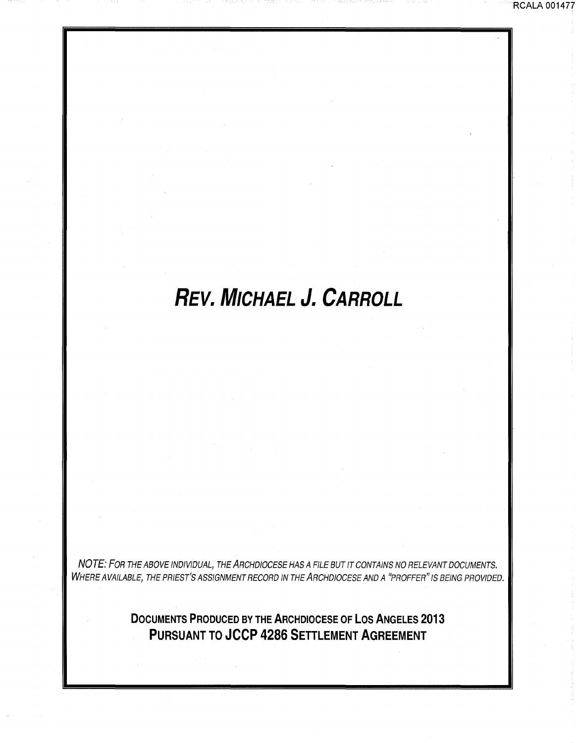## **REV. MICHAEL J. CARROLL**

RCALA 001477

NOTE: FOR THE ABOVE INDIVIDUAL, THE ARCHDIOCESE HAS A FILE BUT IT CONTAINS NO RELEVANT DOCUMENTS. WHERE AVAILABLE, THE PRIEST'S ASSIGNMENT RECORD IN THE ARCHDIOCESE AND A "PROFFER" IS BEING PROVIDED.

> **DOCUMENTS PRODUCED BY THE ARCHDIOCESE OF LOS ANGELES 2013 PURSUANT TO JCCP 4286 SETTLEMENT AGREEMENT**